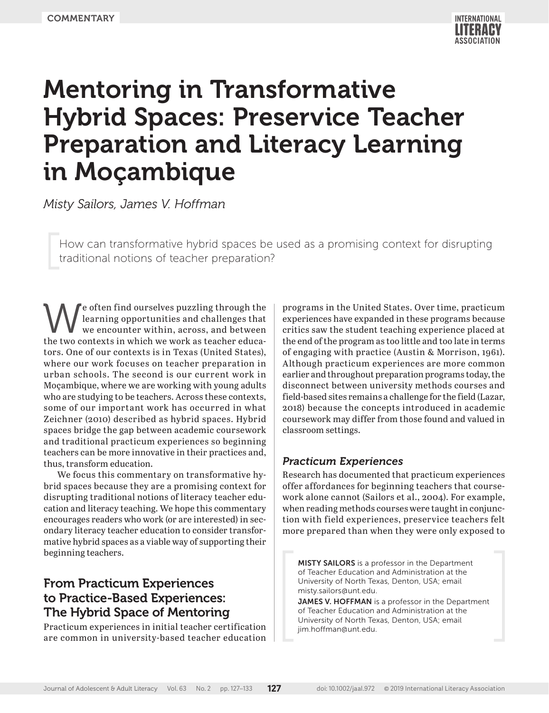

# Mentoring in Transformative Hybrid Spaces: Preservice Teacher Preparation and Literacy Learning in Moçambique

*Misty Sailors, James V. Hoffman*

How can transformative hybrid spaces be used as a promising context for disrupting traditional notions of teacher preparation?

'e often find ourselves puzzling through the learning opportunities and challenges that we encounter within, across, and between the two contexts in which we work as teacher educators. One of our contexts is in Texas (United States), where our work focuses on teacher preparation in urban schools. The second is our current work in Moçambique, where we are working with young adults who are studying to be teachers. Across these contexts, some of our important work has occurred in what Zeichner (2010) described as hybrid spaces. Hybrid spaces bridge the gap between academic coursework and traditional practicum experiences so beginning teachers can be more innovative in their practices and, thus, transform education.

We focus this commentary on transformative hybrid spaces because they are a promising context for disrupting traditional notions of literacy teacher education and literacy teaching. We hope this commentary encourages readers who work (or are interested) in secondary literacy teacher education to consider transformative hybrid spaces as a viable way of supporting their beginning teachers.

# From Practicum Experiences to Practice-Based Experiences: The Hybrid Space of Mentoring

Practicum experiences in initial teacher certification are common in university-based teacher education programs in the United States. Over time, practicum experiences have expanded in these programs because critics saw the student teaching experience placed at the end of the program as too little and too late in terms of engaging with practice (Austin & Morrison, 1961). Although practicum experiences are more common earlier and throughout preparation programs today, the disconnect between university methods courses and field-based sites remains a challenge for the field (Lazar, 2018) because the concepts introduced in academic coursework may differ from those found and valued in classroom settings.

# *Practicum Experiences*

Research has documented that practicum experiences offer affordances for beginning teachers that coursework alone cannot (Sailors et al., 2004). For example, when reading methods courses were taught in conjunction with field experiences, preservice teachers felt more prepared than when they were only exposed to

**MISTY SAILORS** is a professor in the Department of Teacher Education and Administration at the University of North Texas, Denton, USA; email [misty.sailors@unt.edu.](mailto:misty.sailors@unt.edu)

JAMES V. HOFFMAN is a professor in the Department of Teacher Education and Administration at the University of North Texas, Denton, USA; email [jim.hoffman@unt.edu](mailto:jim.hoffman@unt.edu).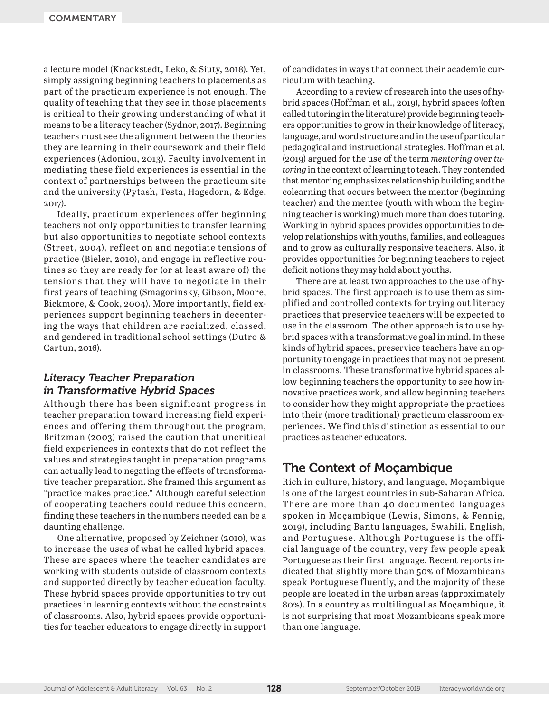a lecture model (Knackstedt, Leko, & Siuty, 2018). Yet, simply assigning beginning teachers to placements as part of the practicum experience is not enough. The quality of teaching that they see in those placements is critical to their growing understanding of what it means to be a literacy teacher (Sydnor, 2017). Beginning teachers must see the alignment between the theories they are learning in their coursework and their field experiences (Adoniou, 2013). Faculty involvement in mediating these field experiences is essential in the context of partnerships between the practicum site and the university (Pytash, Testa, Hagedorn, & Edge, 2017).

Ideally, practicum experiences offer beginning teachers not only opportunities to transfer learning but also opportunities to negotiate school contexts (Street, 2004), ref lect on and negotiate tensions of practice (Bieler, 2010), and engage in ref lective routines so they are ready for (or at least aware of) the tensions that they will have to negotiate in their first years of teaching (Smagorinsky, Gibson, Moore, Bickmore, & Cook, 2004). More importantly, field experiences support beginning teachers in decentering the ways that children are racialized, classed, and gendered in traditional school settings (Dutro & Cartun, 2016).

# *Literacy Teacher Preparation in Transformative Hybrid Spaces*

Although there has been significant progress in teacher preparation toward increasing field experiences and offering them throughout the program, Britzman (2003) raised the caution that uncritical field experiences in contexts that do not reflect the values and strategies taught in preparation programs can actually lead to negating the effects of transformative teacher preparation. She framed this argument as "practice makes practice." Although careful selection of cooperating teachers could reduce this concern, finding these teachers in the numbers needed can be a daunting challenge.

One alternative, proposed by Zeichner (2010), was to increase the uses of what he called hybrid spaces. These are spaces where the teacher candidates are working with students outside of classroom contexts and supported directly by teacher education faculty. These hybrid spaces provide opportunities to try out practices in learning contexts without the constraints of classrooms. Also, hybrid spaces provide opportunities for teacher educators to engage directly in support of candidates in ways that connect their academic curriculum with teaching.

According to a review of research into the uses of hybrid spaces (Hoffman et al., 2019), hybrid spaces (often called tutoring in the literature) provide beginning teachers opportunities to grow in their knowledge of literacy, language, and word structure and in the use of particular pedagogical and instructional strategies. Hoffman et al. (2019) argued for the use of the term *mentoring* over *tutoring* in the context of learning to teach. They contended that mentoring emphasizes relationship building and the colearning that occurs between the mentor (beginning teacher) and the mentee (youth with whom the beginning teacher is working) much more than does tutoring. Working in hybrid spaces provides opportunities to develop relationships with youths, families, and colleagues and to grow as culturally responsive teachers. Also, it provides opportunities for beginning teachers to reject deficit notions they may hold about youths.

There are at least two approaches to the use of hybrid spaces. The first approach is to use them as simplified and controlled contexts for trying out literacy practices that preservice teachers will be expected to use in the classroom. The other approach is to use hybrid spaces with a transformative goal in mind. In these kinds of hybrid spaces, preservice teachers have an opportunity to engage in practices that may not be present in classrooms. These transformative hybrid spaces allow beginning teachers the opportunity to see how innovative practices work, and allow beginning teachers to consider how they might appropriate the practices into their (more traditional) practicum classroom experiences. We find this distinction as essential to our practices as teacher educators.

# The Context of Moçambique

Rich in culture, history, and language, Moçambique is one of the largest countries in sub-Saharan Africa. There are more than 40 documented languages spoken in Moçambique (Lewis, Simons, & Fennig, 2019), including Bantu languages, Swahili, English, and Portuguese. Although Portuguese is the official language of the country, very few people speak Portuguese as their first language. Recent reports indicated that slightly more than 50% of Mozambicans speak Portuguese fluently, and the majority of these people are located in the urban areas (approximately 80%). In a country as multilingual as Moçambique, it is not surprising that most Mozambicans speak more than one language.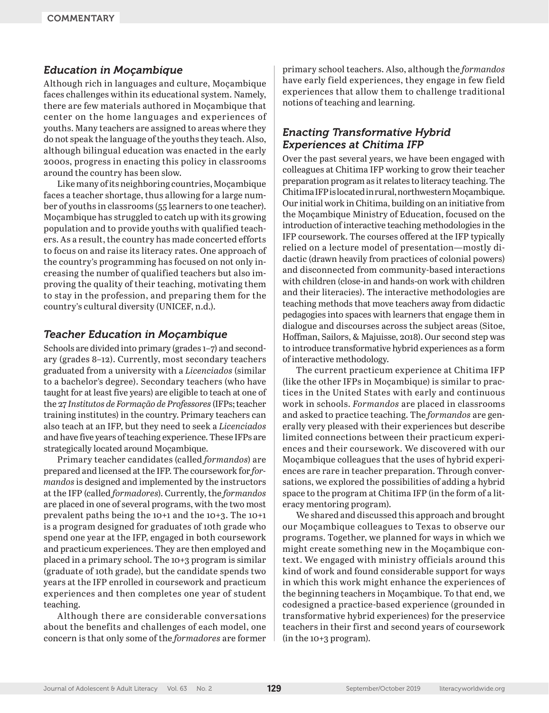## *Education in Moçambique*

Although rich in languages and culture, Moçambique faces challenges within its educational system. Namely, there are few materials authored in Moçambique that center on the home languages and experiences of youths. Many teachers are assigned to areas where they do not speak the language of the youths they teach. Also, although bilingual education was enacted in the early 2000s, progress in enacting this policy in classrooms around the country has been slow.

Like many of its neighboring countries, Moçambique faces a teacher shortage, thus allowing for a large number of youths in classrooms (55 learners to one teacher). Moçambique has struggled to catch up with its growing population and to provide youths with qualified teachers. As a result, the country has made concerted efforts to focus on and raise its literacy rates. One approach of the country's programming has focused on not only increasing the number of qualified teachers but also improving the quality of their teaching, motivating them to stay in the profession, and preparing them for the country's cultural diversity (UNICEF, n.d.).

## *Teacher Education in Moçambique*

Schools are divided into primary (grades 1–7) and secondary (grades 8–12). Currently, most secondary teachers graduated from a university with a *Licenciados* (similar to a bachelor's degree). Secondary teachers (who have taught for at least five years) are eligible to teach at one of the 27 *Institutos de Formação de Professores* (IFPs; teacher training institutes) in the country. Primary teachers can also teach at an IFP, but they need to seek a *Licenciados* and have five years of teaching experience. These IFPs are strategically located around Moçambique.

Primary teacher candidates (called *formandos*) are prepared and licensed at the IFP. The coursework for *formandos* is designed and implemented by the instructors at the IFP (called *formadores*). Currently, the *formandos* are placed in one of several programs, with the two most prevalent paths being the 10+1 and the 10+3. The 10+1 is a program designed for graduates of 10th grade who spend one year at the IFP, engaged in both coursework and practicum experiences. They are then employed and placed in a primary school. The 10+3 program is similar (graduate of 10th grade), but the candidate spends two years at the IFP enrolled in coursework and practicum experiences and then completes one year of student teaching.

Although there are considerable conversations about the benefits and challenges of each model, one concern is that only some of the *formadores* are former primary school teachers. Also, although the *formandos* have early field experiences, they engage in few field experiences that allow them to challenge traditional notions of teaching and learning.

# *Enacting Transformative Hybrid Experiences at Chitima IFP*

Over the past several years, we have been engaged with colleagues at Chitima IFP working to grow their teacher preparation program as it relates to literacy teaching. The Chitima IFP is located in rural, northwestern Moçambique. Our initial work in Chitima, building on an initiative from the Moçambique Ministry of Education, focused on the introduction of interactive teaching methodologies in the IFP coursework. The courses offered at the IFP typically relied on a lecture model of presentation—mostly didactic (drawn heavily from practices of colonial powers) and disconnected from community-based interactions with children (close-in and hands-on work with children and their literacies). The interactive methodologies are teaching methods that move teachers away from didactic pedagogies into spaces with learners that engage them in dialogue and discourses across the subject areas (Sitoe, Hoffman, Sailors, & Majuisse, 2018). Our second step was to introduce transformative hybrid experiences as a form of interactive methodology.

The current practicum experience at Chitima IFP (like the other IFPs in Moçambique) is similar to practices in the United States with early and continuous work in schools. *Formandos* are placed in classrooms and asked to practice teaching. The *formandos* are generally very pleased with their experiences but describe limited connections between their practicum experiences and their coursework. We discovered with our Moçambique colleagues that the uses of hybrid experiences are rare in teacher preparation. Through conversations, we explored the possibilities of adding a hybrid space to the program at Chitima IFP (in the form of a literacy mentoring program).

We shared and discussed this approach and brought our Moçambique colleagues to Texas to observe our programs. Together, we planned for ways in which we might create something new in the Moçambique context. We engaged with ministry officials around this kind of work and found considerable support for ways in which this work might enhance the experiences of the beginning teachers in Moçambique. To that end, we codesigned a practice-based experience (grounded in transformative hybrid experiences) for the preservice teachers in their first and second years of coursework (in the 10+3 program).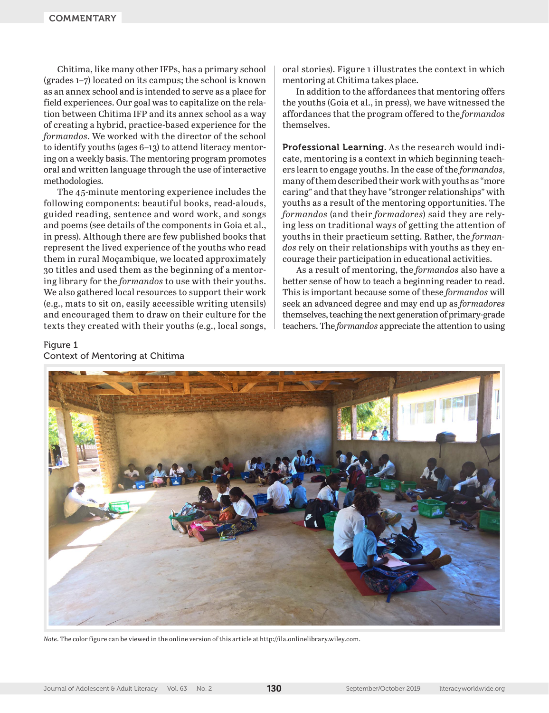Chitima, like many other IFPs, has a primary school (grades 1–7) located on its campus; the school is known as an annex school and is intended to serve as a place for field experiences. Our goal was to capitalize on the relation between Chitima IFP and its annex school as a way of creating a hybrid, practice-based experience for the *formandos*. We worked with the director of the school to identify youths (ages 6–13) to attend literacy mentoring on a weekly basis. The mentoring program promotes oral and written language through the use of interactive methodologies.

The 45-minute mentoring experience includes the following components: beautiful books, read-alouds, guided reading, sentence and word work, and songs and poems (see details of the components in Goia et al., in press). Although there are few published books that represent the lived experience of the youths who read them in rural Moçambique, we located approximately 30 titles and used them as the beginning of a mentoring library for the *formandos* to use with their youths. We also gathered local resources to support their work (e.g., mats to sit on, easily accessible writing utensils) and encouraged them to draw on their culture for the texts they created with their youths (e.g., local songs,

oral stories). Figure 1 illustrates the context in which mentoring at Chitima takes place.

In addition to the affordances that mentoring offers the youths (Goia et al., in press), we have witnessed the affordances that the program offered to the *formandos* themselves.

Professional Learning. As the research would indicate, mentoring is a context in which beginning teachers learn to engage youths. In the case of the *formandos*, many of them described their work with youths as "more caring" and that they have "stronger relationships" with youths as a result of the mentoring opportunities. The *formandos* (and their *formadores*) said they are relying less on traditional ways of getting the attention of youths in their practicum setting. Rather, the *formandos* rely on their relationships with youths as they encourage their participation in educational activities.

As a result of mentoring, the *formandos* also have a better sense of how to teach a beginning reader to read. This is important because some of these *formandos* will seek an advanced degree and may end up as *formadores* themselves, teaching the next generation of primary-grade teachers. The *formandos* appreciate the attention to using

#### Figure 1



*Note*. The color figure can be viewed in the online version of this article at <http://ila.onlinelibrary.wiley.com>.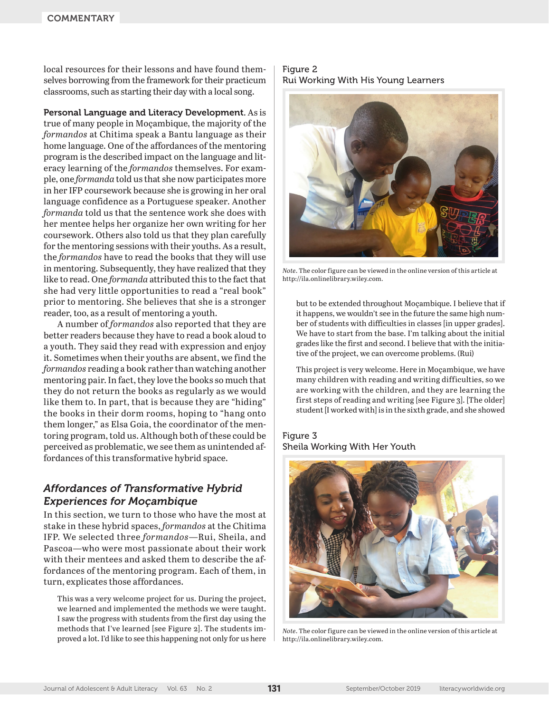local resources for their lessons and have found themselves borrowing from the framework for their practicum classrooms, such as starting their day with a local song.

Personal Language and Literacy Development. As is true of many people in Moçambique, the majority of the *formandos* at Chitima speak a Bantu language as their home language. One of the affordances of the mentoring program is the described impact on the language and literacy learning of the *formandos* themselves. For example, one *formanda* told us that she now participates more in her IFP coursework because she is growing in her oral language confidence as a Portuguese speaker. Another *formanda* told us that the sentence work she does with her mentee helps her organize her own writing for her coursework. Others also told us that they plan carefully for the mentoring sessions with their youths. As a result, the *formandos* have to read the books that they will use in mentoring. Subsequently, they have realized that they like to read. One *formanda* attributed this to the fact that she had very little opportunities to read a "real book" prior to mentoring. She believes that she is a stronger reader, too, as a result of mentoring a youth.

A number of *formandos* also reported that they are better readers because they have to read a book aloud to a youth. They said they read with expression and enjoy it. Sometimes when their youths are absent, we find the *formandos* reading a book rather than watching another mentoring pair. In fact, they love the books so much that they do not return the books as regularly as we would like them to. In part, that is because they are "hiding" the books in their dorm rooms, hoping to "hang onto them longer," as Elsa Goia, the coordinator of the mentoring program, told us. Although both of these could be perceived as problematic, we see them as unintended affordances of this transformative hybrid space.

# *Affordances of Transformative Hybrid Experiences for Moçambique*

In this section, we turn to those who have the most at stake in these hybrid spaces, *formandos* at the Chitima IFP. We selected three *formandos*—Rui, Sheila, and Pascoa—who were most passionate about their work with their mentees and asked them to describe the affordances of the mentoring program. Each of them, in turn, explicates those affordances.

This was a very welcome project for us. During the project, we learned and implemented the methods we were taught. I saw the progress with students from the first day using the methods that I've learned [see Figure 2]. The students improved a lot. I'd like to see this happening not only for us here

#### Figure 2 Rui Working With His Young Learners



*Note*. The color figure can be viewed in the online version of this article at <http://ila.onlinelibrary.wiley.com>.

but to be extended throughout Moçambique. I believe that if it happens, we wouldn't see in the future the same high number of students with difficulties in classes [in upper grades]. We have to start from the base. I'm talking about the initial grades like the first and second. I believe that with the initiative of the project, we can overcome problems. (Rui)

This project is very welcome. Here in Moçambique, we have many children with reading and writing difficulties, so we are working with the children, and they are learning the first steps of reading and writing [see Figure 3]. [The older] student [I worked with] is in the sixth grade, and she showed

## Figure 3 Sheila Working With Her Youth



*Note*. The color figure can be viewed in the online version of this article at <http://ila.onlinelibrary.wiley.com>.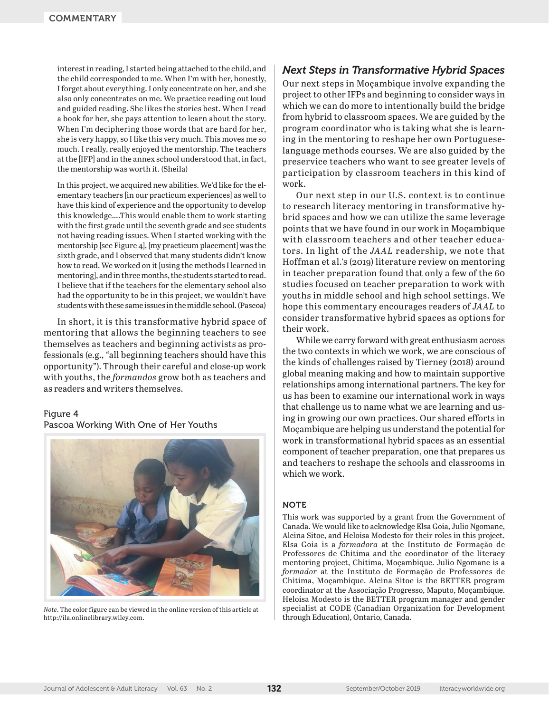interest in reading, I started being attached to the child, and the child corresponded to me. When I'm with her, honestly, I forget about everything. I only concentrate on her, and she also only concentrates on me. We practice reading out loud and guided reading. She likes the stories best. When I read a book for her, she pays attention to learn about the story. When I'm deciphering those words that are hard for her, she is very happy, so I like this very much. This moves me so much. I really, really enjoyed the mentorship. The teachers at the [IFP] and in the annex school understood that, in fact, the mentorship was worth it. (Sheila)

In this project, we acquired new abilities. We'd like for the elementary teachers [in our practicum experiences] as well to have this kind of experience and the opportunity to develop this knowledge….This would enable them to work starting with the first grade until the seventh grade and see students not having reading issues. When I started working with the mentorship [see Figure 4], [my practicum placement] was the sixth grade, and I observed that many students didn't know how to read. We worked on it [using the methods I learned in mentoring], and in three months, the students started to read. I believe that if the teachers for the elementary school also had the opportunity to be in this project, we wouldn't have students with these same issues in the middle school. (Pascoa)

In short, it is this transformative hybrid space of mentoring that allows the beginning teachers to see themselves as teachers and beginning activists as professionals (e.g., "all beginning teachers should have this opportunity"). Through their careful and close-up work with youths, the *formandos* grow both as teachers and as readers and writers themselves.

#### Figure 4

Pascoa Working With One of Her Youths



*Note*. The color figure can be viewed in the online version of this article at [http://ila.onlinelibrary.wiley.com.](http://ila.onlinelibrary.wiley.com)

# *Next Steps in Transformative Hybrid Spaces*

Our next steps in Moçambique involve expanding the project to other IFPs and beginning to consider ways in which we can do more to intentionally build the bridge from hybrid to classroom spaces. We are guided by the program coordinator who is taking what she is learning in the mentoring to reshape her own Portugueselanguage methods courses. We are also guided by the preservice teachers who want to see greater levels of participation by classroom teachers in this kind of work.

Our next step in our U.S. context is to continue to research literacy mentoring in transformative hybrid spaces and how we can utilize the same leverage points that we have found in our work in Moçambique with classroom teachers and other teacher educators. In light of the *JAAL* readership, we note that Hoffman et al.'s (2019) literature review on mentoring in teacher preparation found that only a few of the 60 studies focused on teacher preparation to work with youths in middle school and high school settings. We hope this commentary encourages readers of *JAAL* to consider transformative hybrid spaces as options for their work.

While we carry forward with great enthusiasm across the two contexts in which we work, we are conscious of the kinds of challenges raised by Tierney (2018) around global meaning making and how to maintain supportive relationships among international partners. The key for us has been to examine our international work in ways that challenge us to name what we are learning and using in growing our own practices. Our shared efforts in Moçambique are helping us understand the potential for work in transformational hybrid spaces as an essential component of teacher preparation, one that prepares us and teachers to reshape the schools and classrooms in which we work.

#### **NOTE**

This work was supported by a grant from the Government of Canada. We would like to acknowledge Elsa Goia, Julio Ngomane, Alcina Sitoe, and Heloisa Modesto for their roles in this project. Elsa Goia is a *formadora* at the Instituto de Formação de Professores de Chitima and the coordinator of the literacy mentoring project, Chitima, Moçambique. Julio Ngomane is a *formador* at the Instituto de Formação de Professores de Chitima, Moçambique. Alcina Sitoe is the BETTER program coordinator at the Associação Progresso, Maputo, Moçambique. Heloisa Modesto is the BETTER program manager and gender specialist at CODE (Canadian Organization for Development through Education), Ontario, Canada.